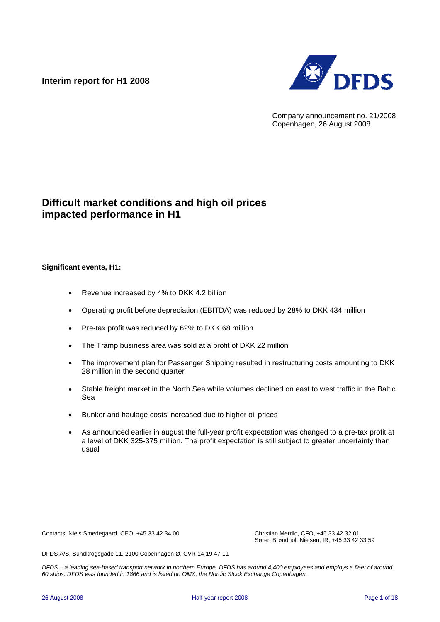### **Interim report for H1 2008**



Company announcement no. 21/2008 Copenhagen, 26 August 2008

## **Difficult market conditions and high oil prices impacted performance in H1**

#### **Significant events, H1:**

- Revenue increased by 4% to DKK 4.2 billion
- Operating profit before depreciation (EBITDA) was reduced by 28% to DKK 434 million
- Pre-tax profit was reduced by 62% to DKK 68 million
- The Tramp business area was sold at a profit of DKK 22 million
- The improvement plan for Passenger Shipping resulted in restructuring costs amounting to DKK 28 million in the second quarter
- Stable freight market in the North Sea while volumes declined on east to west traffic in the Baltic Sea
- Bunker and haulage costs increased due to higher oil prices
- As announced earlier in august the full-year profit expectation was changed to a pre-tax profit at a level of DKK 325-375 million. The profit expectation is still subject to greater uncertainty than usual

Contacts: Niels Smedegaard, CEO, +45 33 42 34 00 Christian Merrild, CFO, +45 33 42 32 01

Søren Brøndholt Nielsen, IR, +45 33 42 33 59

DFDS A/S, Sundkrogsgade 11, 2100 Copenhagen Ø, CVR 14 19 47 11

*DFDS – a leading sea-based transport network in northern Europe. DFDS has around 4,400 employees and employs a fleet of around 60 ships. DFDS was founded in 1866 and is listed on OMX, the Nordic Stock Exchange Copenhagen.*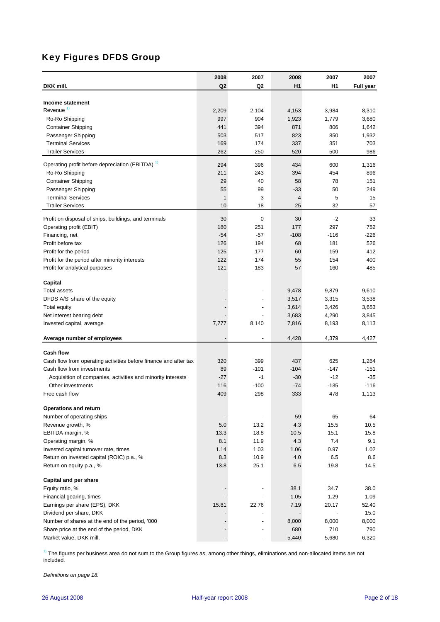## Key Figures DFDS Group

| DKK mill.                                                        | 2008<br>Q2   | 2007<br>Q2               | 2008<br>H <sub>1</sub> | 2007<br>H <sub>1</sub> | 2007      |
|------------------------------------------------------------------|--------------|--------------------------|------------------------|------------------------|-----------|
|                                                                  |              |                          |                        |                        | Full year |
| Income statement                                                 |              |                          |                        |                        |           |
| Revenue $1$                                                      | 2,209        | 2,104                    | 4,153                  | 3,984                  | 8,310     |
| Ro-Ro Shipping                                                   | 997          | 904                      | 1,923                  | 1,779                  | 3,680     |
| <b>Container Shipping</b>                                        | 441          | 394                      | 871                    | 806                    | 1,642     |
| Passenger Shipping                                               | 503          | 517                      | 823                    | 850                    | 1,932     |
| <b>Terminal Services</b>                                         | 169          | 174                      | 337                    | 351                    | 703       |
| <b>Trailer Services</b>                                          | 262          | 250                      | 520                    | 500                    | 986       |
| Operating profit before depreciation (EBITDA) <sup>1)</sup>      | 294          | 396                      | 434                    | 600                    | 1,316     |
| Ro-Ro Shipping                                                   | 211          | 243                      | 394                    | 454                    | 896       |
| <b>Container Shipping</b>                                        | 29           | 40                       | 58                     | 78                     | 151       |
| Passenger Shipping                                               | 55           | 99                       | -33                    | 50                     | 249       |
| <b>Terminal Services</b>                                         | $\mathbf{1}$ | 3                        | 4                      | 5                      | 15        |
| <b>Trailer Services</b>                                          | 10           | 18                       | 25                     | 32                     | 57        |
| Profit on disposal of ships, buildings, and terminals            | 30           | 0                        | 30                     | $-2$                   | 33        |
| Operating profit (EBIT)                                          | 180          | 251                      | 177                    | 297                    | 752       |
| Financing, net                                                   | $-54$        | $-57$                    | $-108$                 | $-116$                 | $-226$    |
| Profit before tax                                                | 126          | 194                      | 68                     | 181                    | 526       |
| Profit for the period                                            | 125          | 177                      | 60                     | 159                    | 412       |
| Profit for the period after minority interests                   | 122          | 174                      | 55                     | 154                    | 400       |
| Profit for analytical purposes                                   | 121          | 183                      | 57                     | 160                    | 485       |
|                                                                  |              |                          |                        |                        |           |
| Capital                                                          |              |                          |                        |                        |           |
| <b>Total assets</b>                                              |              |                          | 9,478                  | 9,879                  | 9,610     |
| DFDS A/S' share of the equity                                    |              |                          | 3,517                  | 3,315                  | 3,538     |
| <b>Total equity</b>                                              |              |                          | 3,614                  | 3,426                  | 3,653     |
| Net interest bearing debt                                        |              |                          | 3,683                  | 4,290                  | 3,845     |
| Invested capital, average                                        | 7,777        | 8,140                    | 7,816                  | 8,193                  | 8,113     |
| Average number of employees                                      |              |                          | 4,428                  | 4,379                  | 4,427     |
| <b>Cash flow</b>                                                 |              |                          |                        |                        |           |
| Cash flow from operating activities before finance and after tax | 320          | 399                      | 437                    | 625                    | 1,264     |
| Cash flow from investments                                       | 89           | $-101$                   | $-104$                 | $-147$                 | $-151$    |
| Acquisition of companies, activities and minority interests      | $-27$        | -1                       | -30                    | $-12$                  | $-35$     |
| Other investments                                                | 116          | $-100$                   | $-74$                  | $-135$                 | $-116$    |
| Free cash flow                                                   | 409          | 298                      | 333                    | 478                    | 1,113     |
| <b>Operations and return</b>                                     |              |                          |                        |                        |           |
| Number of operating ships                                        |              | $\overline{\phantom{a}}$ | 59                     | 65                     | 64        |
| Revenue growth, %                                                | $5.0\,$      | 13.2                     | 4.3                    | 15.5                   | 10.5      |
| EBITDA-margin, %                                                 | 13.3         | 18.8                     | 10.5                   | 15.1                   | 15.8      |
| Operating margin, %                                              | 8.1          | 11.9                     | 4.3                    | 7.4                    | 9.1       |
| Invested capital turnover rate, times                            | 1.14         | 1.03                     | 1.06                   | 0.97                   | 1.02      |
| Return on invested capital (ROIC) p.a., %                        | 8.3          | 10.9                     | 4.0                    | 6.5                    | 8.6       |
| Return on equity p.a., %                                         | 13.8         | 25.1                     | 6.5                    | 19.8                   | 14.5      |
| <b>Capital and per share</b>                                     |              |                          |                        |                        |           |
| Equity ratio, %                                                  |              | $\overline{\phantom{a}}$ | 38.1                   | 34.7                   | 38.0      |
| Financial gearing, times                                         |              | $\blacksquare$           | 1.05                   | 1.29                   | 1.09      |
| Earnings per share (EPS), DKK                                    | 15.81        | 22.76                    | 7.19                   | 20.17                  | 52.40     |
| Dividend per share, DKK                                          |              |                          |                        |                        | 15.0      |
| Number of shares at the end of the period, '000                  |              | ٠                        | 8,000                  | 8,000                  | 8,000     |
| Share price at the end of the period, DKK                        |              | $\overline{\phantom{m}}$ | 680                    | 710                    | 790       |
| Market value, DKK mill.                                          |              | $\overline{\phantom{a}}$ | 5,440                  | 5,680                  | 6,320     |

 $1)$  The figures per business area do not sum to the Group figures as, among other things, eliminations and non-allocated items are not included.

*Definitions on page 18.*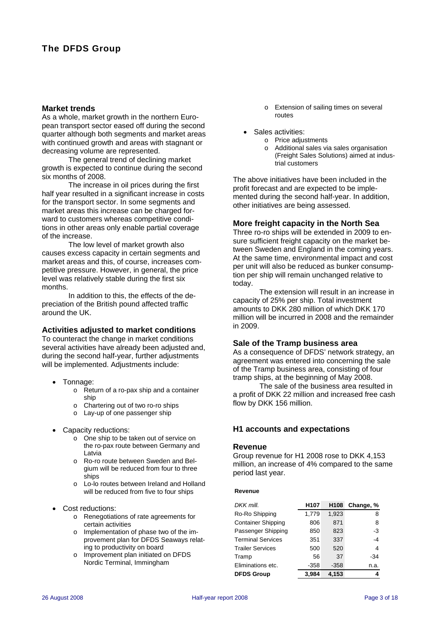#### **Market trends**

As a whole, market growth in the northern European transport sector eased off during the second quarter although both segments and market areas with continued growth and areas with stagnant or decreasing volume are represented.

The general trend of declining market growth is expected to continue during the second six months of 2008.

The increase in oil prices during the first half year resulted in a significant increase in costs for the transport sector. In some segments and market areas this increase can be charged forward to customers whereas competitive conditions in other areas only enable partial coverage of the increase.

The low level of market growth also causes excess capacity in certain segments and market areas and this, of course, increases competitive pressure. However, in general, the price level was relatively stable during the first six months.

In addition to this, the effects of the depreciation of the British pound affected traffic around the UK.

#### **Activities adjusted to market conditions**

To counteract the change in market conditions several activities have already been adjusted and, during the second half-year, further adjustments will be implemented. Adjustments include:

- Tonnage:
	- o Return of a ro-pax ship and a container ship
	- o Chartering out of two ro-ro ships
	- o Lay-up of one passenger ship
- Capacity reductions:
	- $\overline{\circ}$  One ship to be taken out of service on the ro-pax route between Germany and Latvia
	- o Ro-ro route between Sweden and Belgium will be reduced from four to three ships
	- o Lo-lo routes between Ireland and Holland will be reduced from five to four ships
- Cost reductions:
	- o Renegotiations of rate agreements for certain activities
	- o Implementation of phase two of the improvement plan for DFDS Seaways relating to productivity on board
	- o Improvement plan initiated on DFDS Nordic Terminal, Immingham
- o Extension of sailing times on several routes
- Sales activities:
	- o Price adjustments
	- o Additional sales via sales organisation (Freight Sales Solutions) aimed at industrial customers

The above initiatives have been included in the profit forecast and are expected to be implemented during the second half-year. In addition, other initiatives are being assessed.

#### **More freight capacity in the North Sea**

Three ro-ro ships will be extended in 2009 to ensure sufficient freight capacity on the market between Sweden and England in the coming years. At the same time, environmental impact and cost per unit will also be reduced as bunker consumption per ship will remain unchanged relative to today.

The extension will result in an increase in capacity of 25% per ship. Total investment amounts to DKK 280 million of which DKK 170 million will be incurred in 2008 and the remainder in 2009.

#### **Sale of the Tramp business area**

As a consequence of DFDS' network strategy, an agreement was entered into concerning the sale of the Tramp business area, consisting of four tramp ships, at the beginning of May 2008.

The sale of the business area resulted in a profit of DKK 22 million and increased free cash flow by DKK 156 million.

#### **H1 accounts and expectations**

#### **Revenue**

Group revenue for H1 2008 rose to DKK 4,153 million, an increase of 4% compared to the same period last year.

#### **Revenue**

| DKK mill.                 | H <sub>107</sub> | H <sub>108</sub> | Change, % |
|---------------------------|------------------|------------------|-----------|
| Ro-Ro Shipping            | 1,779            | 1,923            | 8         |
| <b>Container Shipping</b> | 806              | 871              | 8         |
| Passenger Shipping        | 850              | 823              | $-3$      |
| <b>Terminal Services</b>  | 351              | 337              | $-4$      |
| <b>Trailer Services</b>   | 500              | 520              | 4         |
| Tramp                     | 56               | 37               | -34       |
| Eliminations etc.         | $-358$           | $-358$           | n.a.      |
| <b>DFDS Group</b>         | 3.984            | 4.153            |           |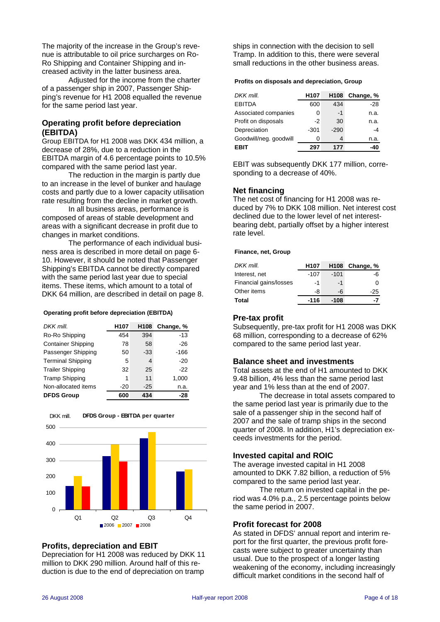The majority of the increase in the Group's revenue is attributable to oil price surcharges on Ro-Ro Shipping and Container Shipping and increased activity in the latter business area.

Adjusted for the income from the charter of a passenger ship in 2007, Passenger Shipping's revenue for H1 2008 equalled the revenue for the same period last year.

#### **Operating profit before depreciation (EBITDA)**

Group EBITDA for H1 2008 was DKK 434 million, a decrease of 28%, due to a reduction in the EBITDA margin of 4.6 percentage points to 10.5% compared with the same period last year.

 The reduction in the margin is partly due to an increase in the level of bunker and haulage costs and partly due to a lower capacity utilisation rate resulting from the decline in market growth.

 In all business areas, performance is composed of areas of stable development and areas with a significant decrease in profit due to changes in market conditions.

The performance of each individual business area is described in more detail on page 6- 10. However, it should be noted that Passenger Shipping's EBITDA cannot be directly compared with the same period last year due to special items. These items, which amount to a total of DKK 64 million, are described in detail on page 8.

#### **Operating profit before depreciation (EBITDA)**

| DKK mill                  | H <sub>107</sub> | H108  | Change, % |
|---------------------------|------------------|-------|-----------|
| Ro-Ro Shipping            | 454              | 394   | $-13$     |
| <b>Container Shipping</b> | 78               | 58    | $-26$     |
| Passenger Shipping        | 50               | $-33$ | -166      |
| <b>Terminal Shipping</b>  | 5                | 4     | $-20$     |
| <b>Trailer Shipping</b>   | 32               | 25    | -22       |
| <b>Tramp Shipping</b>     | 1                | 11    | 1,000     |
| Non-allocated items       | $-20$            | $-25$ | n.a.      |
| <b>DFDS Group</b>         | 600              | 434   | -28       |



#### **DFDS Group - EBITDA per quarter** DKK mill.

#### **Profits, depreciation and EBIT**

Depreciation for H1 2008 was reduced by DKK 11 million to DKK 290 million. Around half of this reduction is due to the end of depreciation on tramp

ships in connection with the decision to sell Tramp. In addition to this, there were several small reductions in the other business areas.

#### **Profits on disposals and depreciation, Group**

| DKK mill.              | H <sub>107</sub> | H <sub>108</sub> | Change, % |
|------------------------|------------------|------------------|-----------|
| <b>EBITDA</b>          | 600              | 434              | $-28$     |
| Associated companies   | 0                | $-1$             | n.a.      |
| Profit on disposals    | -2               | 30               | n.a.      |
| Depreciation           | $-301$           | $-290$           | -4        |
| Goodwill/neg. goodwill | O                | 4                | n.a.      |
| EBIT                   | 297              | 177              | -41       |

EBIT was subsequently DKK 177 million, corresponding to a decrease of 40%.

#### **Net financing**

The net cost of financing for H1 2008 was reduced by 7% to DKK 108 million. Net interest cost declined due to the lower level of net interestbearing debt, partially offset by a higher interest rate level.

#### **Finance, net, Group**

| DKK mill.              | H107   |        | H108 Change, % |
|------------------------|--------|--------|----------------|
| Interest, net          | $-107$ | $-101$ | -6             |
| Financial gains/losses | -1     | -1     | 0              |
| Other items            | -8     | -6     | $-25$          |
| Total                  | $-116$ | -108   | -7             |

#### **Pre-tax profit**

Subsequently, pre-tax profit for H1 2008 was DKK 68 million, corresponding to a decrease of 62% compared to the same period last year.

#### **Balance sheet and investments**

Total assets at the end of H1 amounted to DKK 9.48 billion, 4% less than the same period last year and 1% less than at the end of 2007.

The decrease in total assets compared to the same period last year is primarily due to the sale of a passenger ship in the second half of 2007 and the sale of tramp ships in the second quarter of 2008. In addition, H1's depreciation exceeds investments for the period.

#### **Invested capital and ROIC**

The average invested capital in H1 2008 amounted to DKK 7.82 billion, a reduction of 5% compared to the same period last year.

The return on invested capital in the period was 4.0% p.a., 2.5 percentage points below the same period in 2007.

#### **Profit forecast for 2008**

As stated in DFDS' annual report and interim report for the first quarter, the previous profit forecasts were subject to greater uncertainty than usual. Due to the prospect of a longer lasting weakening of the economy, including increasingly difficult market conditions in the second half of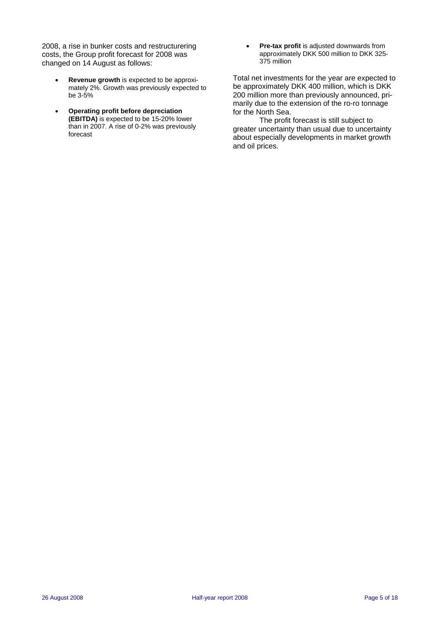2008, a rise in bunker costs and restructurering costs, the Group profit forecast for 2008 was changed on 14 August as follows:

- **Revenue growth** is expected to be approximately 2%. Growth was previously expected to be 3-5%
- **Operating profit before depreciation (EBITDA)** is expected to be 15-20% lower than in 2007. A rise of 0-2% was previously forecast

• **Pre-tax profit** is adjusted downwards from approximately DKK 500 million to DKK 325- 375 million

Total net investments for the year are expected to be approximately DKK 400 million, which is DKK 200 million more than previously announced, primarily due to the extension of the ro-ro tonnage for the North Sea.

The profit forecast is still subject to greater uncertainty than usual due to uncertainty about especially developments in market growth and oil prices.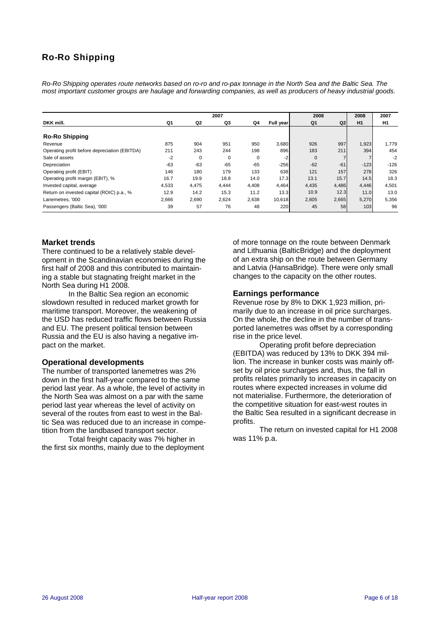## Ro-Ro Shipping

*Ro-Ro Shipping operates route networks based on ro-ro and ro-pax tonnage in the North Sea and the Baltic Sea. The most important customer groups are haulage and forwarding companies, as well as producers of heavy industrial goods.* 

| 2007                                          |       |       |             |       | 2008      |              | 2008           | 2007   |        |
|-----------------------------------------------|-------|-------|-------------|-------|-----------|--------------|----------------|--------|--------|
| DKK mill.                                     | Q1    | Q2    | Q3          | Q4    | Full year | Q1           | Q <sub>2</sub> | H1     | H1     |
| <b>Ro-Ro Shipping</b>                         |       |       |             |       |           |              |                |        |        |
| Revenue                                       | 875   | 904   | 951         | 950   | 3,680     | 926          | 997            | 1,923  | 1.779  |
| Operating profit before depreciation (EBITDA) | 211   | 243   | 244         | 198   | 896       | 183          | 211            | 394    | 454    |
| Sale of assets                                | $-2$  | 0     | $\mathbf 0$ | 0     | $-2$      | $\mathbf{0}$ |                |        | $-2$   |
| Depreciation                                  | $-63$ | $-63$ | $-65$       | $-65$ | $-256$    | $-62$        | $-61$          | $-123$ | $-126$ |
| Operating profit (EBIT)                       | 146   | 180   | 179         | 133   | 638       | 121          | 157            | 278    | 326    |
| Operating profit margin (EBIT), %             | 16.7  | 19.9  | 18.8        | 14.0  | 17.3      | 13.1         | 15.7           | 14.5   | 18.3   |
| Invested capital, average                     | 4,533 | 4,475 | 4,444       | 4,408 | 4,464     | 4,435        | 4,486          | 4,446  | 4,501  |
| Return on invested capital (ROIC) p.a., %     | 12.9  | 14.2  | 15.3        | 11.2  | 13.3      | 10.9         | 12.3           | 11.0   | 13.0   |
| Lanemetres, '000                              | 2,666 | 2,690 | 2,624       | 2,638 | 10,618    | 2,605        | 2,665          | 5,270  | 5,356  |
| Passengers (Baltic Sea), '000                 | 39    | 57    | 76          | 48    | 220       | 45           | 58             | 103    | 96     |

#### **Market trends**

There continued to be a relatively stable development in the Scandinavian economies during the first half of 2008 and this contributed to maintaining a stable but stagnating freight market in the North Sea during H1 2008.

In the Baltic Sea region an economic slowdown resulted in reduced market growth for maritime transport. Moreover, the weakening of the USD has reduced traffic flows between Russia and EU. The present political tension between Russia and the EU is also having a negative impact on the market.

#### **Operational developments**

The number of transported lanemetres was 2% down in the first half-year compared to the same period last year. As a whole, the level of activity in the North Sea was almost on a par with the same period last year whereas the level of activity on several of the routes from east to west in the Baltic Sea was reduced due to an increase in competition from the landbased transport sector.

Total freight capacity was 7% higher in the first six months, mainly due to the deployment of more tonnage on the route between Denmark and Lithuania (BalticBridge) and the deployment of an extra ship on the route between Germany and Latvia (HansaBridge). There were only small changes to the capacity on the other routes.

#### **Earnings performance**

Revenue rose by 8% to DKK 1,923 million, primarily due to an increase in oil price surcharges. On the whole, the decline in the number of transported lanemetres was offset by a corresponding rise in the price level.

Operating profit before depreciation (EBITDA) was reduced by 13% to DKK 394 million. The increase in bunker costs was mainly offset by oil price surcharges and, thus, the fall in profits relates primarily to increases in capacity on routes where expected increases in volume did not materialise. Furthermore, the deterioration of the competitive situation for east-west routes in the Baltic Sea resulted in a significant decrease in profits.

The return on invested capital for H1 2008 was 11% p.a.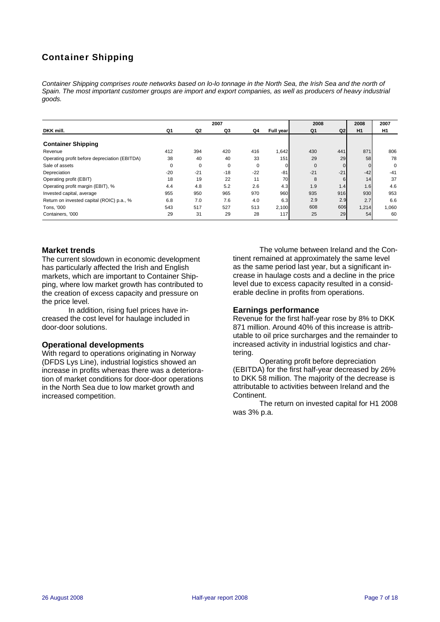## Container Shipping

*Container Shipping comprises route networks based on lo-lo tonnage in the North Sea, the Irish Sea and the north of Spain. The most important customer groups are import and export companies, as well as producers of heavy industrial goods.* 

| 2007                                          |       |       |       |       | 2008      |              | 2008           | 2007  |             |
|-----------------------------------------------|-------|-------|-------|-------|-----------|--------------|----------------|-------|-------------|
| DKK mill.                                     | Q1    | Q2    | Q3    | Q4    | Full year | Q1           | Q <sub>2</sub> | H1    | H1          |
| <b>Container Shipping</b>                     |       |       |       |       |           |              |                |       |             |
| Revenue                                       | 412   | 394   | 420   | 416   | 1,642     | 430          | 441            | 871   | 806         |
| Operating profit before depreciation (EBITDA) | 38    | 40    | 40    | 33    | 151       | 29           | 29             | 58    | 78          |
| Sale of assets                                | 0     | 0     | 0     | 0     |           | $\mathbf{0}$ |                |       | $\mathbf 0$ |
| Depreciation                                  | $-20$ | $-21$ | $-18$ | $-22$ | $-81$     | $-21$        | $-21$          | $-42$ | $-41$       |
| Operating profit (EBIT)                       | 18    | 19    | 22    | 11    | 70        | 8            | 6              | 14    | 37          |
| Operating profit margin (EBIT), %             | 4.4   | 4.8   | 5.2   | 2.6   | 4.3       | 1.9          | 1.4            | 1.6   | 4.6         |
| Invested capital, average                     | 955   | 950   | 965   | 970   | 960       | 935          | 916            | 930   | 953         |
| Return on invested capital (ROIC) p.a., %     | 6.8   | 7.0   | 7.6   | 4.0   | 6.3       | 2.9          | 2.9            | 2.7   | 6.6         |
| Tons, '000                                    | 543   | 517   | 527   | 513   | 2,100     | 608          | 606            | 1,214 | 1,060       |
| Containers, '000                              | 29    | 31    | 29    | 28    | 117       | 25           | 29             | 54    | 60          |

#### **Market trends**

The current slowdown in economic development has particularly affected the Irish and English markets, which are important to Container Shipping, where low market growth has contributed to the creation of excess capacity and pressure on the price level.

In addition, rising fuel prices have increased the cost level for haulage included in door-door solutions.

#### **Operational developments**

With regard to operations originating in Norway (DFDS Lys Line), industrial logistics showed an increase in profits whereas there was a deterioration of market conditions for door-door operations in the North Sea due to low market growth and increased competition.

The volume between Ireland and the Continent remained at approximately the same level as the same period last year, but a significant increase in haulage costs and a decline in the price level due to excess capacity resulted in a considerable decline in profits from operations.

#### **Earnings performance**

Revenue for the first half-year rose by 8% to DKK 871 million. Around 40% of this increase is attributable to oil price surcharges and the remainder to increased activity in industrial logistics and chartering.

Operating profit before depreciation (EBITDA) for the first half-year decreased by 26% to DKK 58 million. The majority of the decrease is attributable to activities between Ireland and the Continent.

The return on invested capital for H1 2008 was 3% p.a.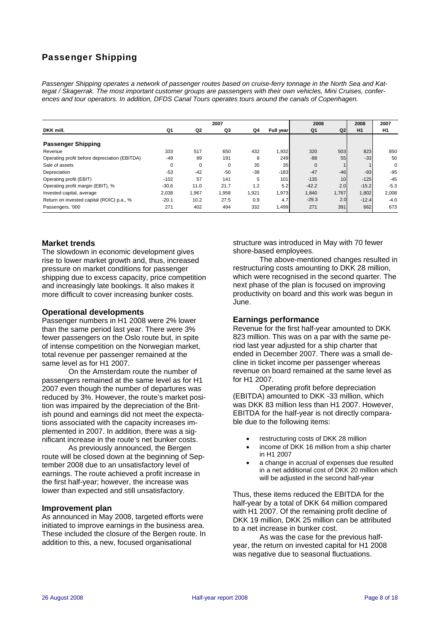## Passenger Shipping

*Passenger Shipping operates a network of passenger routes based on cruise-ferry tonnage in the North Sea and Kattegat / Skagerrak. The most important customer groups are passengers with their own vehicles, Mini Cruises, conferences and tour operators. In addition, DFDS Canal Tours operates tours around the canals of Copenhagen.* 

| 2007                                          |          |          |          |       | 2008            |              | 2008           | 2007    |                |
|-----------------------------------------------|----------|----------|----------|-------|-----------------|--------------|----------------|---------|----------------|
| DKK mill.                                     | Q1       | Q2       | Q3       | Q4    | Full year       | Q1           | Q <sub>2</sub> | H1      | H <sub>1</sub> |
| <b>Passenger Shipping</b>                     |          |          |          |       |                 |              |                |         |                |
| Revenue                                       | 333      | 517      | 650      | 432   | 1,932           | 320          | 503            | 823     | 850            |
| Operating profit before depreciation (EBITDA) | $-49$    | 99       | 191      | 8     | 249             | $-88$        | 55             | $-33$   | 50             |
| Sale of assets                                | $\Omega$ | $\Omega$ | $\Omega$ | 35    | 35 <sub>1</sub> | $\mathbf{0}$ |                |         | $\Omega$       |
| Depreciation                                  | $-53$    | $-42$    | $-50$    | $-38$ | $-183$          | $-47$        | $-46$          | $-93$   | $-95$          |
| Operating profit (EBIT)                       | $-102$   | 57       | 141      | 5     | 101             | $-135$       | 10             | $-125$  | $-45$          |
| Operating profit margin (EBIT), %             | $-30.6$  | 11.0     | 21.7     | 1.2   | 5.2             | $-42.2$      | 2.0            | $-15.2$ | $-5.3$         |
| Invested capital, average                     | 2,038    | 1,967    | 1,958    | 1,921 | 1,973           | 1,840        | 1,767          | 1,802   | 2,008          |
| Return on invested capital (ROIC) p.a., %     | $-20.1$  | 10.2     | 27.5     | 0.9   | 4.7             | $-29.3$      | 2.0            | $-12.4$ | $-4.0$         |
| Passengers, '000                              | 271      | 402      | 494      | 332   | 1.499           | 271          | 391            | 662     | 673            |

#### **Market trends**

The slowdown in economic development gives rise to lower market growth and, thus, increased pressure on market conditions for passenger shipping due to excess capacity, price competition and increasingly late bookings. It also makes it more difficult to cover increasing bunker costs.

#### **Operational developments**

Passenger numbers in H1 2008 were 2% lower than the same period last year. There were 3% fewer passengers on the Oslo route but, in spite of intense competition on the Norwegian market, total revenue per passenger remained at the same level as for H1 2007.

On the Amsterdam route the number of passengers remained at the same level as for H1 2007 even though the number of departures was reduced by 3%. However, the route's market position was impaired by the depreciation of the British pound and earnings did not meet the expectations associated with the capacity increases implemented in 2007. In addition, there was a significant increase in the route's net bunker costs.

As previously announced, the Bergen route will be closed down at the beginning of September 2008 due to an unsatisfactory level of earnings. The route achieved a profit increase in the first half-year; however, the increase was lower than expected and still unsatisfactory.

#### **Improvement plan**

As announced in May 2008, targeted efforts were initiated to improve earnings in the business area. These included the closure of the Bergen route. In addition to this, a new, focused organisational

structure was introduced in May with 70 fewer shore-based employees.

The above-mentioned changes resulted in restructuring costs amounting to DKK 28 million, which were recognised in the second quarter. The next phase of the plan is focused on improving productivity on board and this work was begun in June.

#### **Earnings performance**

Revenue for the first half-year amounted to DKK 823 million. This was on a par with the same period last year adjusted for a ship charter that ended in December 2007. There was a small decline in ticket income per passenger whereas revenue on board remained at the same level as for H1 2007.

Operating profit before depreciation (EBITDA) amounted to DKK -33 million, which was DKK 83 million less than H1 2007. However, EBITDA for the half-year is not directly comparable due to the following items:

- restructuring costs of DKK 28 million
- income of DKK 16 million from a ship charter in H1 2007
- a change in accrual of expenses due resulted in a net additional cost of DKK 20 million which will be adjusted in the second half-year

Thus, these items reduced the EBITDA for the half-year by a total of DKK 64 million compared with H1 2007. Of the remaining profit decline of DKK 19 million, DKK 25 million can be attributed to a net increase in bunker cost.

As was the case for the previous halfyear, the return on invested capital for H1 2008 was negative due to seasonal fluctuations.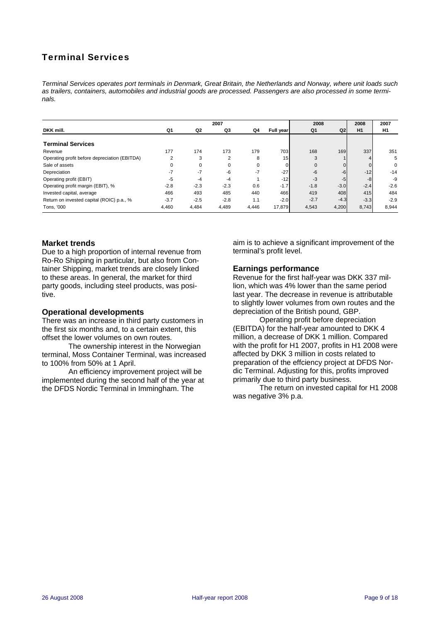## Terminal Services

*Terminal Services operates port terminals in Denmark, Great Britain, the Netherlands and Norway, where unit loads such as trailers, containers, automobiles and industrial goods are processed. Passengers are also processed in some terminals.* 

| 2007                                          |                |                |                |          | 2008            |              | 2008           | 2007   |                |
|-----------------------------------------------|----------------|----------------|----------------|----------|-----------------|--------------|----------------|--------|----------------|
| DKK mill.                                     | Q1             | Q <sub>2</sub> | Q3             | Q4       | Full year       | Q1           | Q <sub>2</sub> | H1     | H <sub>1</sub> |
| <b>Terminal Services</b>                      |                |                |                |          |                 |              |                |        |                |
| Revenue                                       | 177            | 174            | 173            | 179      | 703             | 168          | 169            | 337    | 351            |
| Operating profit before depreciation (EBITDA) | $\overline{2}$ | 3              | $\overline{2}$ | 8        | 15 <sub>h</sub> | 3            |                |        | 5              |
| Sale of assets                                | $\Omega$       | $\Omega$       | $\Omega$       | $\Omega$ |                 | $\mathbf{0}$ |                |        | 0              |
| Depreciation                                  | -7             | $-7$           | -6             | $-7$     | $-27$           | $-6$         | $-6$           | $-12$  | $-14$          |
| Operating profit (EBIT)                       | -5             | $-4$           | $-4$           |          | $-12$           | $-3$         | -5             | -8     | -9             |
| Operating profit margin (EBIT), %             | $-2.8$         | $-2.3$         | $-2.3$         | 0.6      | $-1.7$          | $-1.8$       | $-3.0$         | $-2.4$ | $-2.6$         |
| Invested capital, average                     | 466            | 493            | 485            | 440      | 466             | 419          | 408            | 415    | 484            |
| Return on invested capital (ROIC) p.a., %     | $-3.7$         | $-2.5$         | $-2.8$         | 1.1      | $-2.0$          | $-2.7$       | $-4.3$         | $-3.3$ | $-2.9$         |
| Tons, '000                                    | 4,460          | 4,484          | 4,489          | 4,446    | 17,879          | 4,543        | 4,200          | 8,743  | 8,944          |

#### **Market trends**

Due to a high proportion of internal revenue from Ro-Ro Shipping in particular, but also from Container Shipping, market trends are closely linked to these areas. In general, the market for third party goods, including steel products, was positive.

#### **Operational developments**

There was an increase in third party customers in the first six months and, to a certain extent, this offset the lower volumes on own routes.

The ownership interest in the Norwegian terminal, Moss Container Terminal, was increased to 100% from 50% at 1 April.

An efficiency improvement project will be implemented during the second half of the year at the DFDS Nordic Terminal in Immingham. The

aim is to achieve a significant improvement of the terminal's profit level.

#### **Earnings performance**

Revenue for the first half-year was DKK 337 million, which was 4% lower than the same period last year. The decrease in revenue is attributable to slightly lower volumes from own routes and the depreciation of the British pound, GBP.

Operating profit before depreciation (EBITDA) for the half-year amounted to DKK 4 million, a decrease of DKK 1 million. Compared with the profit for H1 2007, profits in H1 2008 were affected by DKK 3 million in costs related to preparation of the effciency project at DFDS Nordic Terminal. Adjusting for this, profits improved primarily due to third party business.

The return on invested capital for H1 2008 was negative 3% p.a.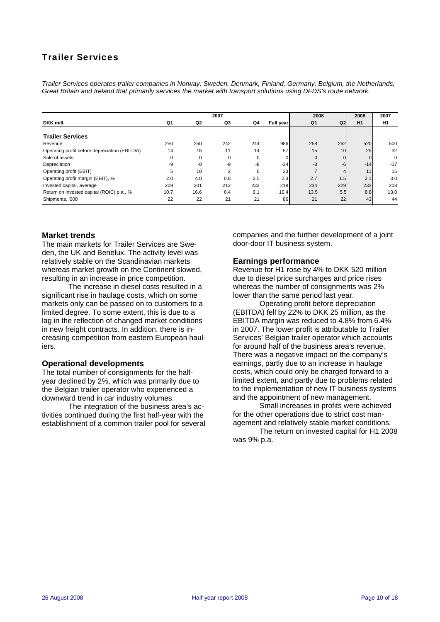### Trailer Services

*Trailer Services operates trailer companies in Norway, Sweden, Denmark, Finland, Germany, Belgium, the Netherlands, Great Britain and Ireland that primarily services the market with transport solutions using DFDS's route network.* 

| 2007                                          |          |                |                |          |           | 2008         |                 | 2008     | 2007           |
|-----------------------------------------------|----------|----------------|----------------|----------|-----------|--------------|-----------------|----------|----------------|
| DKK mill.                                     | Q1       | Q <sub>2</sub> | Q3             | Q4       | Full year | Q1           | Q <sub>2</sub>  | H1       | H <sub>1</sub> |
| <b>Trailer Services</b>                       |          |                |                |          |           |              |                 |          |                |
| Revenue                                       | 250      | 250            | 242            | 244      | 986       | 258          | 262             | 520      | 500            |
| Operating profit before depreciation (EBITDA) | 14       | 18             | 11             | 14       | 57        | 15           | 10 <sup>1</sup> | 25       | 32             |
| Sale of assets                                | $\Omega$ | $\Omega$       | $\Omega$       | $\Omega$ |           | $\mathbf{0}$ |                 | $\Omega$ | 0              |
| Depreciation                                  | -9       | -8             | -9             | -8       | $-34$     | -8           | $-6$            | $-14$    | $-17$          |
| Operating profit (EBIT)                       | 5        | 10             | $\overline{2}$ | 6        | 23        |              |                 | 11       | 15             |
| Operating profit margin (EBIT), %             | 2.0      | 4.0            | 0.8            | 2.5      | 2.3       | 2.7          | 1.5             | 2.1      | 3.0            |
| Invested capital, average                     | 209      | 201            | 212            | 233      | 218       | 234          | 229             | 232      | 208            |
| Return on invested capital (ROIC) p.a., %     | 10.7     | 16.6           | 6.4            | 9.1      | 10.4      | 13.5         | 5.5             | 8.8      | 13.0           |
| Shipments, '000                               | 22       | 22             | 21             | 21       | 86        | 21           | 22              | 43       | 44             |

#### **Market trends**

The main markets for Trailer Services are Sweden, the UK and Benelux. The activity level was relatively stable on the Scandinavian markets whereas market growth on the Continent slowed, resulting in an increase in price competition.

The increase in diesel costs resulted in a significant rise in haulage costs, which on some markets only can be passed on to customers to a limited degree. To some extent, this is due to a lag in the reflection of changed market conditions in new freight contracts. In addition, there is increasing competition from eastern European hauliers.

#### **Operational developments**

The total number of consignments for the halfyear declined by 2%, which was primarily due to the Belgian trailer operator who experienced a downward trend in car industry volumes.

The integration of the business area's activities continued during the first half-year with the establishment of a common trailer pool for several

companies and the further development of a joint door-door IT business system.

#### **Earnings performance**

Revenue for H1 rose by 4% to DKK 520 million due to diesel price surcharges and price rises whereas the number of consignments was 2% lower than the same period last year.

Operating profit before depreciation (EBITDA) fell by 22% to DKK 25 million, as the EBITDA margin was reduced to 4.8% from 6.4% in 2007. The lower profit is attributable to Trailer Services' Belgian trailer operator which accounts for around half of the business area's revenue. There was a negative impact on the company's earnings, partly due to an increase in haulage costs, which could only be charged forward to a limited extent, and partly due to problems related to the implementation of new IT business systems and the appointment of new management.

Small increases in profits were achieved for the other operations due to strict cost management and relatively stable market conditions.

The return on invested capital for H1 2008 was 9% p.a.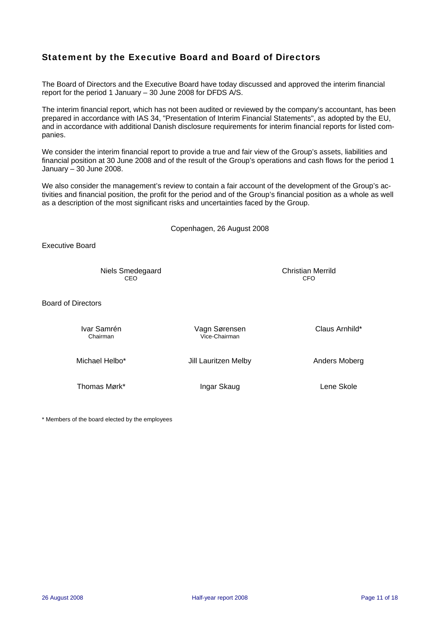### Statement by the Executive Board and Board of Directors

The Board of Directors and the Executive Board have today discussed and approved the interim financial report for the period 1 January – 30 June 2008 for DFDS A/S.

The interim financial report, which has not been audited or reviewed by the company's accountant, has been prepared in accordance with IAS 34, "Presentation of Interim Financial Statements", as adopted by the EU, and in accordance with additional Danish disclosure requirements for interim financial reports for listed companies.

We consider the interim financial report to provide a true and fair view of the Group's assets, liabilities and financial position at 30 June 2008 and of the result of the Group's operations and cash flows for the period 1 January – 30 June 2008.

We also consider the management's review to contain a fair account of the development of the Group's activities and financial position, the profit for the period and of the Group's financial position as a whole as well as a description of the most significant risks and uncertainties faced by the Group.

Copenhagen, 26 August 2008 Executive Board Niels Smedegaard Christian Merrild **CEO CEO CEO CEO CEO** Board of Directors Ivar Samrén Vagn Sørensen Claus Arnhild\* Chairman Vice-Chairman Michael Helbo\* Jill Lauritzen Melby Anders Moberg Thomas Mørk\* **Ingar Skaug Lene Skole** Lene Skole

\* Members of the board elected by the employees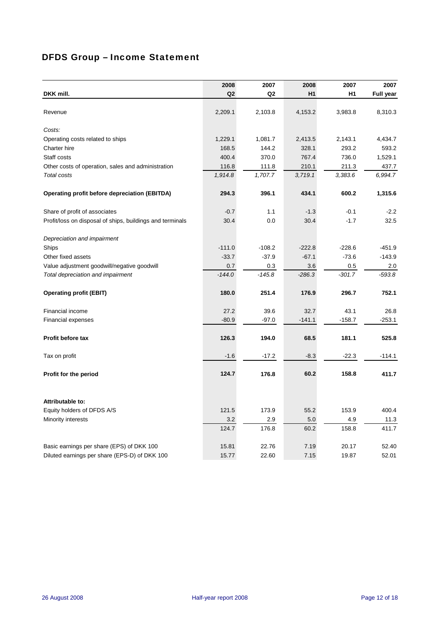## DFDS Group – Income Statement

|                                                           | 2008     | 2007           | 2008     | 2007     | 2007             |
|-----------------------------------------------------------|----------|----------------|----------|----------|------------------|
| DKK mill.                                                 | Q2       | Q <sub>2</sub> | H1       | H1       | <b>Full year</b> |
|                                                           |          |                |          |          |                  |
| Revenue                                                   | 2,209.1  | 2,103.8        | 4,153.2  | 3,983.8  | 8,310.3          |
| Costs:                                                    |          |                |          |          |                  |
| Operating costs related to ships                          | 1,229.1  | 1,081.7        | 2,413.5  | 2,143.1  | 4,434.7          |
| Charter hire                                              | 168.5    | 144.2          | 328.1    | 293.2    | 593.2            |
| Staff costs                                               | 400.4    | 370.0          | 767.4    | 736.0    | 1,529.1          |
| Other costs of operation, sales and administration        | 116.8    | 111.8          | 210.1    | 211.3    | 437.7            |
| Total costs                                               | 1,914.8  | 1,707.7        | 3,719.1  | 3,383.6  | 6,994.7          |
| Operating profit before depreciation (EBITDA)             | 294.3    | 396.1          | 434.1    | 600.2    | 1,315.6          |
|                                                           |          |                |          |          |                  |
| Share of profit of associates                             | $-0.7$   | 1.1            | $-1.3$   | $-0.1$   | $-2.2$           |
| Profit/loss on disposal of ships, buildings and terminals | 30.4     | 0.0            | 30.4     | $-1.7$   | 32.5             |
| Depreciation and impairment                               |          |                |          |          |                  |
| Ships                                                     | $-111.0$ | $-108.2$       | $-222.8$ | $-228.6$ | $-451.9$         |
| Other fixed assets                                        | $-33.7$  | $-37.9$        | $-67.1$  | $-73.6$  | $-143.9$         |
| Value adjustment goodwill/negative goodwill               | 0.7      | 0.3            | 3.6      | 0.5      | 2.0              |
| Total depreciation and impairment                         | $-144.0$ | $-145.8$       | $-286.3$ | $-301.7$ | $-593.8$         |
| <b>Operating profit (EBIT)</b>                            | 180.0    | 251.4          | 176.9    | 296.7    | 752.1            |
| Financial income                                          | 27.2     | 39.6           | 32.7     | 43.1     | 26.8             |
| <b>Financial expenses</b>                                 | $-80.9$  | $-97.0$        | $-141.1$ | $-158.7$ | $-253.1$         |
| Profit before tax                                         | 126.3    | 194.0          | 68.5     | 181.1    | 525.8            |
| Tax on profit                                             | $-1.6$   | $-17.2$        | $-8.3$   | $-22.3$  | $-114.1$         |
| Profit for the period                                     | 124.7    | 176.8          | 60.2     | 158.8    | 411.7            |
| Attributable to:                                          |          |                |          |          |                  |
| Equity holders of DFDS A/S                                | 121.5    | 173.9          | 55.2     | 153.9    | 400.4            |
| Minority interests                                        | 3.2      | 2.9            | 5.0      | 4.9      | 11.3             |
|                                                           | 124.7    | 176.8          | 60.2     | 158.8    | 411.7            |
| Basic earnings per share (EPS) of DKK 100                 | 15.81    | 22.76          | 7.19     | 20.17    | 52.40            |
| Diluted earnings per share (EPS-D) of DKK 100             | 15.77    | 22.60          | 7.15     | 19.87    | 52.01            |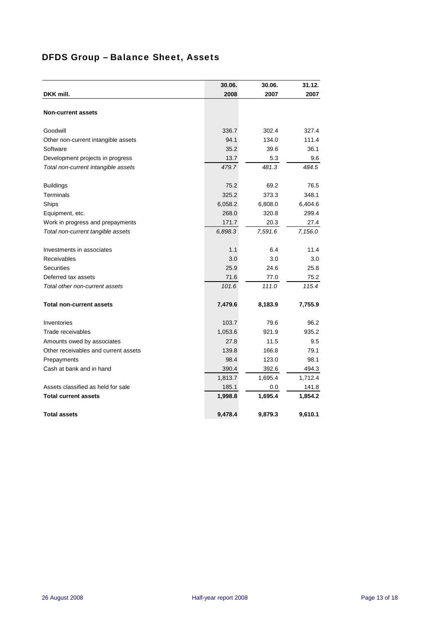## DFDS Group – Balance Sheet, Assets

|                                      | 30.06.  | 30.06.  | 31.12.  |
|--------------------------------------|---------|---------|---------|
| DKK mill.                            | 2008    | 2007    | 2007    |
|                                      |         |         |         |
| <b>Non-current assets</b>            |         |         |         |
|                                      |         |         |         |
| Goodwill                             | 336.7   | 302.4   | 327.4   |
| Other non-current intangible assets  | 94.1    | 134.0   | 111.4   |
| Software                             | 35.2    | 39.6    | 36.1    |
| Development projects in progress     | 13.7    | 5.3     | 9.6     |
| Total non-current intangible assets  | 479.7   | 481.3   | 484.5   |
|                                      | 75.2    | 69.2    | 76.5    |
| <b>Buildings</b><br><b>Terminals</b> | 325.2   | 373.3   | 348.1   |
|                                      |         |         |         |
| Ships                                | 6,058.2 | 6,808.0 | 6,404.6 |
| Equipment, etc.                      | 268.0   | 320.8   | 299.4   |
| Work in progress and prepayments     | 171.7   | 20.3    | 27.4    |
| Total non-current tangible assets    | 6,898.3 | 7,591.6 | 7,156.0 |
| Investments in associates            | 1.1     | 6.4     | 11.4    |
| Receivables                          | 3.0     | 3.0     | 3.0     |
| <b>Securities</b>                    | 25.9    | 24.6    | 25.8    |
| Deferred tax assets                  | 71.6    | 77.0    | 75.2    |
| Total other non-current assets       | 101.6   | 111.0   | 115.4   |
| <b>Total non-current assets</b>      | 7,479.6 | 8,183.9 | 7,755.9 |
|                                      |         |         |         |
| Inventories                          | 103.7   | 79.6    | 96.2    |
| Trade receivables                    | 1,053.6 | 921.9   | 935.2   |
| Amounts owed by associates           | 27.8    | 11.5    | 9.5     |
| Other receivables and current assets | 139.8   | 166.8   | 79.1    |
| Prepayments                          | 98.4    | 123.0   | 98.1    |
| Cash at bank and in hand             | 390.4   | 392.6   | 494.3   |
|                                      | 1,813.7 | 1,695.4 | 1,712.4 |
| Assets classified as held for sale   | 185.1   | 0.0     | 141.8   |
| <b>Total current assets</b>          | 1,998.8 | 1,695.4 | 1,854.2 |
| <b>Total assets</b>                  | 9,478.4 | 9,879.3 | 9,610.1 |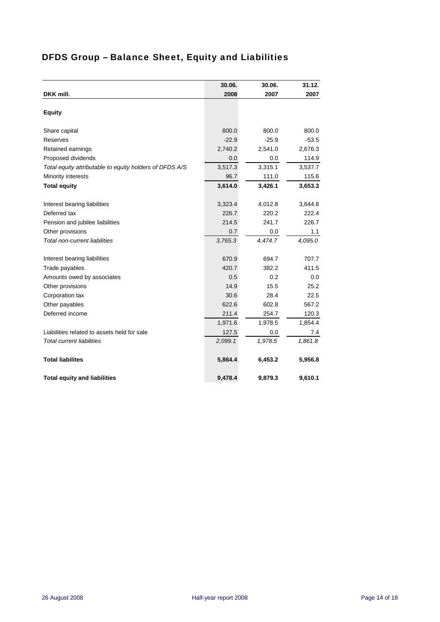# DFDS Group – Balance Sheet, Equity and Liabilities

|                                                         | 30.06.  | 30.06.  | 31.12.  |
|---------------------------------------------------------|---------|---------|---------|
| DKK mill.                                               | 2008    | 2007    | 2007    |
|                                                         |         |         |         |
| <b>Equity</b>                                           |         |         |         |
| Share capital                                           | 800.0   | 800.0   | 800.0   |
| <b>Reserves</b>                                         | $-22.9$ | $-25.9$ | $-53.5$ |
| Retained earnings                                       | 2,740.2 | 2,541.0 | 2,676.3 |
| Proposed dividends                                      | 0.0     | 0.0     | 114.9   |
| Total equity attributable to equity holders of DFDS A/S | 3,517.3 | 3,315.1 | 3,537.7 |
| Minority interests                                      | 96.7    | 111.0   | 115.6   |
| <b>Total equity</b>                                     | 3,614.0 | 3,426.1 | 3,653.3 |
| Interest bearing liabilities                            | 3,323.4 | 4,012.8 | 3,644.8 |
| Deferred tax                                            | 226.7   | 220.2   | 222.4   |
| Pension and jubilee liabilities                         | 214.5   | 241.7   | 226.7   |
| Other provisions                                        | 0.7     | 0.0     | 1.1     |
| Total non-current liabilities                           | 3,765.3 | 4,474.7 | 4,095.0 |
|                                                         |         |         |         |
| Interest bearing liabilities                            | 670.9   | 694.7   | 707.7   |
| Trade payables                                          | 420.7   | 382.2   | 411.5   |
| Amounts owed by associates                              | 0.5     | 0.2     | 0.0     |
| Other provisions                                        | 14.9    | 15.5    | 25.2    |
| Corporation tax                                         | 30.6    | 28.4    | 22.5    |
| Other payables                                          | 622.6   | 602.8   | 567.2   |
| Deferred income                                         | 211.4   | 254.7   | 120.3   |
|                                                         | 1,971.6 | 1,978.5 | 1,854.4 |
| Liabilities related to assets held for sale             | 127.5   | 0.0     | 7.4     |
| <b>Total current liabilities</b>                        | 2,099.1 | 1,978.5 | 1,861.8 |
| <b>Total liabilites</b>                                 | 5,864.4 | 6,453.2 | 5,956.8 |
| <b>Total equity and liabilities</b>                     | 9,478.4 | 9,879.3 | 9,610.1 |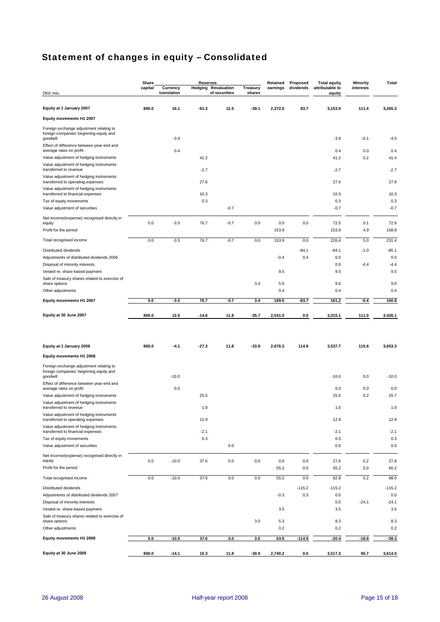# Statement of changes in equity – Consolidated

|                                                                                                | Share   |                         | <b>Reserves</b> |                                             |                    | Retained   | Proposed  | <b>Total equity</b>       | <b>Minority</b> | Total      |
|------------------------------------------------------------------------------------------------|---------|-------------------------|-----------------|---------------------------------------------|--------------------|------------|-----------|---------------------------|-----------------|------------|
| DKK mio.                                                                                       | capital | Currency<br>translation |                 | <b>Hedging Revaluation</b><br>of securities | Treasury<br>shares | earnings   | dividends | attributable to<br>equity | interests       |            |
|                                                                                                |         |                         |                 |                                             |                    |            |           |                           |                 |            |
| Equity at 1 January 2007                                                                       | 800.0   | 16.1                    | $-91.3$         | 12.5                                        | $-39.1$            | 2,372.0    | 83.7      | 3,153.9                   | 111.4           | 3,265.3    |
| Equity movements H1 2007                                                                       |         |                         |                 |                                             |                    |            |           |                           |                 |            |
| Foreign exchange adjustment relating to                                                        |         |                         |                 |                                             |                    |            |           |                           |                 |            |
| foreign companies' beginning equity and                                                        |         |                         |                 |                                             |                    |            |           |                           |                 |            |
| goodwill<br>Effect of difference between year-end and                                          |         | $-3.9$                  |                 |                                             |                    |            |           | $-3.9$                    | $-0.1$          | $-4.0$     |
| average rates on profit                                                                        |         | 0.4                     |                 |                                             |                    |            |           | 0.4                       | 0.0             | 0.4        |
| Value adjustment of hedging instruments                                                        |         |                         | 41.2            |                                             |                    |            |           | 41.2                      | 0.2             | 41.4       |
| Value adjustment of hedging instruments<br>transferred to revenue                              |         |                         | $-2.7$          |                                             |                    |            |           | $-2.7$                    |                 | $-2.7$     |
| Value adjustment of hedging instruments                                                        |         |                         |                 |                                             |                    |            |           |                           |                 |            |
| transferred to operating expenses                                                              |         |                         | 27.6            |                                             |                    |            |           | 27.6                      |                 | 27.6       |
| Value adjustment of hedging instruments<br>transferred to financial expenses                   |         |                         | 10.3            |                                             |                    |            |           | 10.3                      |                 | 10.3       |
| Tax of equity movements                                                                        |         |                         | 0.3             |                                             |                    |            |           | 0.3                       |                 | 0.3        |
| Value adjustment of securities                                                                 |         |                         |                 | $-0.7$                                      |                    |            |           | $-0.7$                    |                 | $-0.7$     |
| Net income/(expense) recognised directly in                                                    |         |                         |                 |                                             |                    |            |           |                           |                 |            |
| equity                                                                                         | 0.0     | $-3.5$                  | 76.7            | $-0.7$                                      | 0.0                | 0.0        | 0.0       | 72.5                      | 0.1             | 72.6       |
| Profit for the period                                                                          |         |                         |                 |                                             |                    | 153.9      |           | 153.9                     | 4.9             | 158.8      |
| Total recognised income                                                                        | 0.0     | $-3.5$                  | 76.7            | $-0.7$                                      | 0.0                | 153.9      | 0.0       | 226.4                     | 5.0             | 231.4      |
| Distributed dividends                                                                          |         |                         |                 |                                             |                    |            | $-84.1$   | $-84.1$                   | $-1.0$          | $-85.1$    |
| Adjustments of distributed dividends 2006                                                      |         |                         |                 |                                             |                    | $-0.4$     | 0.4       | 0.0                       |                 | 0.0        |
| Disposal of minority interests                                                                 |         |                         |                 |                                             |                    |            |           | 0.0                       | $-4.4$          | $-4.4$     |
| Vested re. share-based payment                                                                 |         |                         |                 |                                             |                    | 9.5        |           | 9.5                       |                 | 9.5        |
| Sale of treasury shares related to exercise of<br>share options                                |         |                         |                 |                                             | 3.4                | 5.6        |           | 9.0                       |                 | 9.0        |
| Other adjustments                                                                              |         |                         |                 |                                             |                    | 0.4        |           | 0.4                       |                 | 0.4        |
| Equity movements H1 2007                                                                       | 0.0     | $-3.5$                  | 76.7            | $-0.7$                                      | 3.4                | 169.0      | $-83.7$   | 161.2                     | $-0.4$          | 160.8      |
|                                                                                                |         |                         |                 |                                             |                    |            |           |                           |                 |            |
| Equity at 30 June 2007                                                                         | 800.0   | 12.6                    | $-14.6$         | 11.8                                        | $-35.7$            | 2,541.0    | 0.0       | 3,315.1                   | 111.0           | 3,426.1    |
|                                                                                                |         |                         |                 |                                             |                    |            |           |                           |                 |            |
|                                                                                                |         |                         |                 |                                             |                    |            |           |                           |                 |            |
|                                                                                                |         |                         |                 |                                             |                    |            |           |                           |                 |            |
| Equity at 1 January 2008                                                                       | 800.0   | $-4.1$                  | $-27.3$         | 11.8                                        | $-33.9$            | 2,676.3    | 114.9     | 3,537.7                   | 115.6           | 3,653.3    |
| Equity movements H1 2008                                                                       |         |                         |                 |                                             |                    |            |           |                           |                 |            |
| Foreign exchange adjustment relating to<br>foreign companies' beginning equity and<br>goodwill |         | $-10.0$                 |                 |                                             |                    |            |           | $-10.0$                   | 0.0             | $-10.0$    |
| Effect of difference between year-end and                                                      |         |                         |                 |                                             |                    |            |           |                           |                 |            |
| average rates on profit                                                                        |         | 0.0                     |                 |                                             |                    |            |           | 0.0                       | 0.0             | 0.0        |
| Value adjustment of hedging instruments                                                        |         |                         | 25.5            |                                             |                    |            |           | 25.5                      | 0.2             | 25.7       |
| Value adjustment of hedging instruments<br>transferred to revenue                              |         |                         | 1.0             |                                             |                    |            |           | 1.0                       |                 | 1.0        |
| Value adjustment of hedging instruments<br>transferred to operating expenses                   |         |                         | 12.9            |                                             |                    |            |           | 12.9                      |                 | 12.9       |
| Value adjustment of hedging instruments                                                        |         |                         |                 |                                             |                    |            |           |                           |                 |            |
| transferred to financial expenses                                                              |         |                         | $-2.1$          |                                             |                    |            |           | $-2.1$                    |                 | $-2.1$     |
| Tax of equity movements<br>Value adjustment of securities                                      |         |                         | 0.3             | 0.0                                         |                    |            |           | 0.3<br>0.0                |                 | 0.3<br>0.0 |
|                                                                                                |         |                         |                 |                                             |                    |            |           |                           |                 |            |
| Net income/(expense) recognised directly in<br>equity                                          | 0.0     | $-10.0$                 | 37.6            | 0.0                                         | 0.0                | 0.0        | 0.0       | 27.6                      | 0.2             | 27.8       |
| Profit for the period                                                                          |         |                         |                 |                                             |                    | 55.2       | 0.0       | 55.2                      | 5.0             | 60.2       |
| Total recognised income                                                                        | 0.0     | $-10.0$                 | 37.6            | 0.0                                         | $0.0\,$            | 55.2       | 0.0       | 82.8                      | 5.2             | 88.0       |
| Distributed dividends                                                                          |         |                         |                 |                                             |                    |            | $-115.2$  | $-115.2$                  |                 | $-115.2$   |
| Adjustments of distributed dividends 2007                                                      |         |                         |                 |                                             |                    | $-0.3$     | 0.3       | 0.0                       |                 | 0.0        |
| Disposal of minority interests                                                                 |         |                         |                 |                                             |                    |            |           | 0.0                       | $-24.1$         | $-24.1$    |
| Vested re. share-based payment                                                                 |         |                         |                 |                                             |                    | 3.5        |           | 3.5                       |                 | 3.5        |
| Sale of treasury shares related to exercise of<br>share options                                |         |                         |                 |                                             | 3.0                |            |           | 8.3                       |                 | 8.3        |
| Other adjustments                                                                              |         |                         |                 |                                             |                    | 5.3<br>0.2 |           | 0.2                       |                 | 0.2        |
|                                                                                                |         |                         |                 |                                             |                    |            |           |                           |                 |            |
| Equity movements H1 2008                                                                       | 0.0     | $-10.0$                 | 37.6            | 0.0                                         | 3.0                | 63.9       | $-114.9$  | $-20.4$                   | $-18.9$         | $-39.3$    |
| Equity at 30 June 2008                                                                         | 800.0   | $-14.1$                 | 10.3            | 11.8                                        | $-30.9$            | 2,740.2    | 0.0       | 3,517.3                   | 96.7            | 3,614.0    |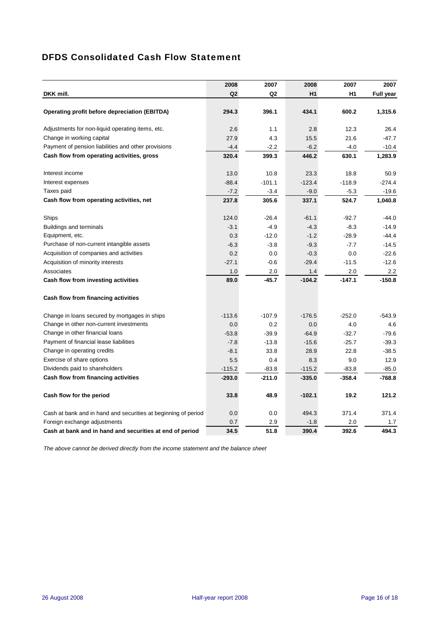### DFDS Consolidated Cash Flow Statement

|                                                                | 2008           | 2007     | 2008     | 2007           | 2007             |
|----------------------------------------------------------------|----------------|----------|----------|----------------|------------------|
| DKK mill.                                                      | Q <sub>2</sub> | Q2       | H1       | H <sub>1</sub> | <b>Full year</b> |
|                                                                |                |          |          |                |                  |
| Operating profit before depreciation (EBITDA)                  | 294.3          | 396.1    | 434.1    | 600.2          | 1,315.6          |
| Adjustments for non-liquid operating items, etc.               | 2.6            | 1.1      | 2.8      | 12.3           | 26.4             |
| Change in working capital                                      | 27.9           | 4.3      | 15.5     | 21.6           | $-47.7$          |
| Payment of pension liabilities and other provisions            | $-4.4$         | $-2.2$   | $-6.2$   | $-4.0$         | $-10.4$          |
| Cash flow from operating activities, gross                     | 320.4          | 399.3    | 446.2    | 630.1          | 1,283.9          |
| Interest income                                                | 13.0           | 10.8     | 23.3     | 18.8           | 50.9             |
| Interest expenses                                              | $-88.4$        | $-101.1$ | $-123.4$ | $-118.9$       | $-274.4$         |
| Taxes paid                                                     | $-7.2$         | $-3.4$   | $-9.0$   | $-5.3$         | $-19.6$          |
| Cash flow from operating activities, net                       | 237.8          | 305.6    | 337.1    | 524.7          | 1,040.8          |
| Ships                                                          | 124.0          | $-26.4$  | $-61.1$  | $-92.7$        | $-44.0$          |
| <b>Buildings and terminals</b>                                 | $-3.1$         | $-4.9$   | $-4.3$   | $-8.3$         | $-14.9$          |
| Equipment, etc.                                                | 0.3            | $-12.0$  | $-1.2$   | $-28.9$        | $-44.4$          |
| Purchase of non-current intangible assets                      | $-6.3$         | $-3.8$   | $-9.3$   | $-7.7$         | $-14.5$          |
| Acquisition of companies and activities                        | 0.2            | 0.0      | $-0.3$   | 0.0            | $-22.6$          |
| Acquisition of minority interests                              | $-27.1$        | $-0.6$   | $-29.4$  | $-11.5$        | $-12.6$          |
| Associates                                                     | 1.0            | 2.0      | 1.4      | 2.0            | 2.2              |
| Cash flow from investing activities                            | 89.0           | $-45.7$  | $-104.2$ | $-147.1$       | $-150.8$         |
| Cash flow from financing activities                            |                |          |          |                |                  |
| Change in loans secured by mortgages in ships                  | $-113.6$       | $-107.9$ | $-176.5$ | $-252.0$       | $-543.9$         |
| Change in other non-current investments                        | 0.0            | 0.2      | 0.0      | 4.0            | 4.6              |
| Change in other financial loans                                | $-53.8$        | $-39.9$  | $-64.9$  | $-32.7$        | $-79.6$          |
| Payment of financial lease liabilities                         | $-7.8$         | $-13.8$  | $-15.6$  | $-25.7$        | $-39.3$          |
| Change in operating credits                                    | $-8.1$         | 33.8     | 28.9     | 22.8           | $-38.5$          |
| Exercise of share options                                      | 5.5            | 0.4      | 8.3      | 9.0            | 12.9             |
| Dividends paid to shareholders                                 | $-115.2$       | $-83.8$  | $-115.2$ | $-83.8$        | $-85.0$          |
| Cash flow from financing activities                            | $-293.0$       | $-211.0$ | $-335.0$ | $-358.4$       | $-768.8$         |
| Cash flow for the period                                       | 33.8           | 48.9     | $-102.1$ | 19.2           | 121.2            |
| Cash at bank and in hand and securities at beginning of period | 0.0            | 0.0      | 494.3    | 371.4          | 371.4            |
| Foreign exchange adjustments                                   | 0.7            | 2.9      | $-1.8$   | 2.0            | 1.7              |
| Cash at bank and in hand and securities at end of period       | 34.5           | 51.8     | 390.4    | 392.6          | 494.3            |

*The above cannot be derived directly from the income statement and the balance sheet*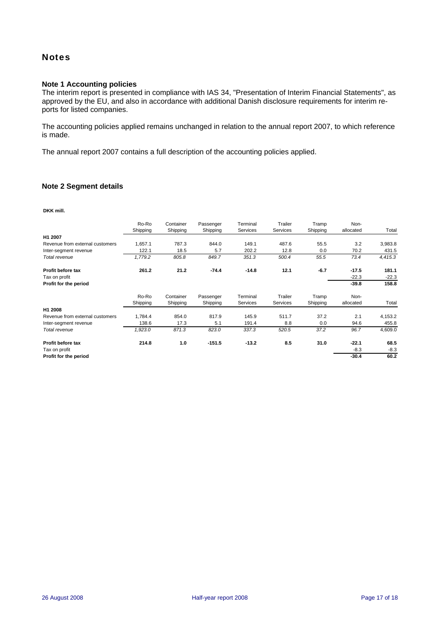### **Notes**

#### **Note 1 Accounting policies**

The interim report is presented in compliance with IAS 34, "Presentation of Interim Financial Statements", as approved by the EU, and also in accordance with additional Danish disclosure requirements for interim reports for listed companies.

The accounting policies applied remains unchanged in relation to the annual report 2007, to which reference is made.

The annual report 2007 contains a full description of the accounting policies applied.

#### **Note 2 Segment details**

**DKK mill.**

|                                 | Ro-Ro<br>Shipping | Container<br>Shipping | Passenger<br>Shipping | Terminal<br>Services | Trailer<br>Services | Tramp<br>Shipping | Non-<br>allocated | Total   |
|---------------------------------|-------------------|-----------------------|-----------------------|----------------------|---------------------|-------------------|-------------------|---------|
| H1 2007                         |                   |                       |                       |                      |                     |                   |                   |         |
| Revenue from external customers | 1,657.1           | 787.3                 | 844.0                 | 149.1                | 487.6               | 55.5              | 3.2               | 3,983.8 |
| Inter-segment revenue           | 122.1             | 18.5                  | 5.7                   | 202.2                | 12.8                | 0.0               | 70.2              | 431.5   |
| Total revenue                   | 1,779.2           | 805.8                 | 849.7                 | 351.3                | 500.4               | 55.5              | 73.4              | 4,415.3 |
| <b>Profit before tax</b>        | 261.2             | 21.2                  | $-74.4$               | $-14.8$              | 12.1                | $-6.7$            | $-17.5$           | 181.1   |
| Tax on profit                   |                   |                       |                       |                      |                     |                   | $-22.3$           | $-22.3$ |
| Profit for the period           |                   |                       |                       |                      |                     |                   | $-39.8$           | 158.8   |
|                                 | Ro-Ro             | Container             | Passenger             | Terminal             | Trailer             | Tramp             | Non-              |         |
|                                 | Shipping          | Shipping              | Shipping              | Services             | Services            | Shipping          | allocated         | Total   |
| H1 2008                         |                   |                       |                       |                      |                     |                   |                   |         |
| Revenue from external customers | 1,784.4           | 854.0                 | 817.9                 | 145.9                | 511.7               | 37.2              | 2.1               | 4,153.2 |
| Inter-segment revenue           | 138.6             | 17.3                  | 5.1                   | 191.4                | 8.8                 | 0.0               | 94.6              | 455.8   |
| Total revenue                   | 1,923.0           | 871.3                 | 823.0                 | 337.3                | 520.5               | 37.2              | 96.7              | 4,609.0 |
| Profit before tax               | 214.8             | 1.0                   | $-151.5$              | $-13.2$              | 8.5                 | 31.0              | $-22.1$           | 68.5    |
| Tax on profit                   |                   |                       |                       |                      |                     |                   | $-8.3$            | $-8.3$  |
| Profit for the period           |                   |                       |                       |                      |                     |                   | $-30.4$           | 60.2    |